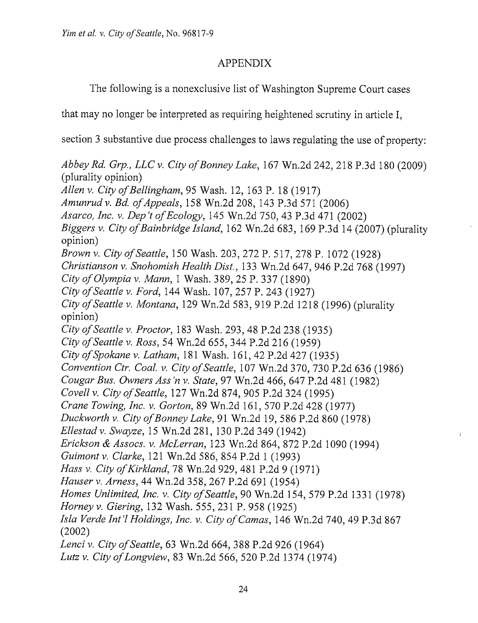## APPENDIX

The following is a nonexclusive list of Washington Supreme Court cases

that may no longer be interpreted as requiring heightened scrutiny in article I,

section 3 substantive due process challenges to laws regulating the use of property:

Abbey Rd. Grp., LLC v. City of Bonney Lake, 167 Wn.2d 242, 218 P.3d 180 (2009) (plurality opinion) Allen v. City of Bellingham, 95 Wash. 12, 163 P. 18 (1917) Amunrud v. Bd. of Appeals, 158 Wn.2d 208, 143 P.3d 571 (2006) Asarco, Inc. v. Dep't of Ecology, 145 Wn.2d 750, 43 P.3d 471 (2002) Biggers v. City of Bainbridge Island, 162 Wn.2d 683, 169 P.3d 14 (2007) (plurality opinion) Brown v. City of Seattle, 150 Wash. 203, 272 P. 517, 278 P. 1072 (1928) Christianson v. Snohomish Health Dist., 133 Wn.2d 647, 946 P.2d 768 (1997) City of Olympia v. Mann, 1 Wash. 389, 25 P. 337 (1890) City of Seattle v. Ford, 144 Wash. 107, 257 P. 243 (1927) City of Seattle v. Montana, 129 Wn.2d 583, 919 P.2d 1218 (1996) (plurality opinion) City of Seattle v. Proctor, 183 Wash. 293, 48 P.2d 238 (1935) City of Seattle v. Ross, 54 Wn.2d 655, 344 P.2d 216 (1959) City of Spokane v. Latham, 181 Wash. 161, 42 P.2d 427 (1935) Convention Ctr. Coal. v. City of Seattle, 107 Wn.2d 370, 730 P.2d 636 (1986) Cougar Bus. Owners Ass 'n v. State, 97 Wn.2d 466, 647 P.2d 481 (1982) Covell V. City of Seattle, 127 Wn.2d 874, 905 P.2d 324 (1995) Crane Towing, Inc. v. Gorton, 89 Wn.2d 161, 570 P.2d 428 (1977) Duckworth v. City of Bonney Lake, 91 Wn.2d 19, 586 P.2d 860 (1978) Ellestad v. Swayze, 15 Wn.2d 281, 130 P.2d 349 (1942) Erickson <& Assocs. v. McLerran, 123 Wn.2d 864, 872 P.2d 1090 (1994) Guimontv. Clarke, 121 Wn.2d 586, 854 P.2d 1 (1993) Hass v. City of Kirkland, 78 Wn.2d 929, 481 P.2d 9 (1971) Mauser v. Arness, 44 Wn.2d 358, 267 P.2d 691 (1954) Homes Unlimited, Inc. v. City of Seattle, 90 Wn.2d 154, 579 P.2d 1331 (1978) Horney v. Giering, 132 Wash. 555, 231 P. 958 (1925) Isla Verde Int'l Holdings, Inc. v. City of Camas, 146 Wn.2d 740, 49 P.3d 867 (2002) Lenci v. City of Seattle, 63 Wn.2d 664, 388 P.2d 926 (1964) Lutz v. City of Longview, 83 Wn.2d 566, 520 P.2d 1374 (1974)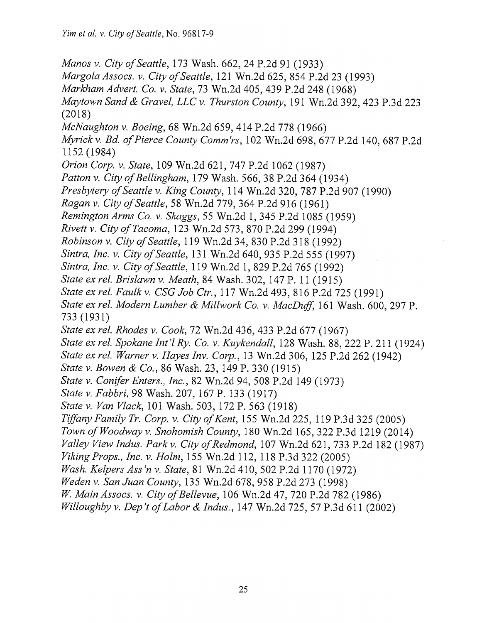Manos v. City of Seattle, 173 Wash. 662, 24 P.2d 91 (1933) Margola Assocs. v. City of Seattle, 121 Wn.2d 625, 854 P.2d 23 (1993) Markham Advert. Co. v. State, 73 Wn.2d 405, 439 P.2d 248 (1968) Maytown Sand & Gravel, LLC v. Thurston County, 191 Wn.2d 392, 423 P.3d 223 (2018) McNaughton v. Boeing, 68 Wn.2d 659, 414 P.2d 778 (1966) Myrick v. Bd. of Pierce County Comm'rs, 102 Wn.2d 698, 677 P.2d 140, 687 P.2d 1152 (1984) Orion Corp. v. State, 109 Wn.2d 621, 747 P.2d 1062 (1987) Patton v. City of Bellingham, 179 Wash. 566, 38 P.2d 364 (1934) Presbytery of Seattle v. King County, 114 Wn.2d 320, 787 P.2d 907 (1990) Pagan v. City of Seattle, 58 Wn.2d 779, 364 P.2d 916 (1961) Remington Arms Co. v. Skaggs, 55 Wn.2d 1, 345 P.2d 1085 (1959) Rivett v. City of Tacoma, 123 Wn.2d 573, 870 P.2d 299 (1994) Robinson v. City of Seattle, 119 Wn.2d 34, 830 P.2d 318 (1992) Sintra, Inc. v. City of Seattle, 131 Wn.2d 640, 935 P.2d 555 (1997) Sintra, Inc. v. City of Seattle, 119 Wn.2d 1, 829 P.2d 765 (1992) State ex rel. Brislawn v. Meath, 84 Wash. 302, 147 P. 11 (1915) State ex rel. Faulk v. CSG Job Ctr., 117 Wn.2d 493, 816 P.2d 725 (1991) State ex rel. Modern Lumber & Millwork Co. v. MacDuff, 161 Wash. 600, 297 P. 733 (1931) State ex rel. Rhodes v. Cook, 72 Wn.2d 436, 433 P.2d 677 (1967) State ex rel. Spokane Int'I Ry. Co. v. Kuykendall, 128 Wash. 88, 222 P. 211 (1924) State ex rel. Warner v. Hayes Inv. Corp., 13 Wn.2d 306, 125 P.2d 262 (1942) State v. Bowen & Co., 86 Wash. 23, 149 P. 330 (1915) State V. Conifer Enters., Inc., 82 Wn.2d 94, 508 P.2d 149 (1973) State v. Fabbri, 98 Wash. 207, 167 P. 133 (1917) State v. Van Vlack, 101 Wash. 503, 172 P. 563 (1918) Tiffany Family Tr. Corp. v. City of Kent, 155 Wn.2d 225, 119 P.3d 325 (2005) Town of Woodway v. Snohomish County, 180 Wn.2d 165, 322 P.3d 1219 (2014) Valley View Indus. Park v. City of Redmond, 107 Wn.2d 621, 733 P.2d 182 (1987) Viking Props., Inc. v. Holm, 155 Wn.2d 112, 118 P.3d 322 (2005) Wash. Kelpers Ass'n v. State, 81 Wn.2d 410, 502 P.2d 1170 (1972) Weden v. San Juan County, 135 Wn.2d 678, 958 P.2d 273 (1998) W. Main Assocs. v. City of Bellevue, 106 Wn.2d 47, 720 P.2d 782 (1986) Willoughby v. Dep't of Labor & Indus., 147 Wn.2d 725, 57 P.3d 611 (2002)